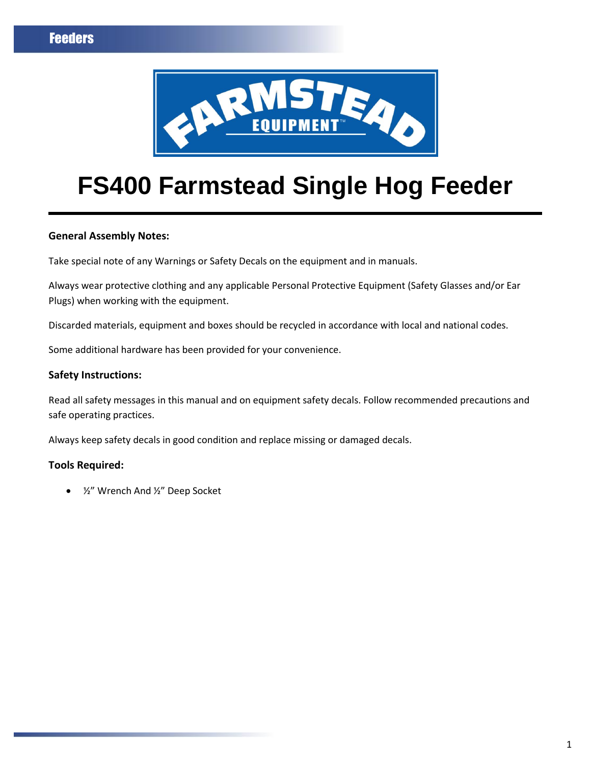

# **FS400 Farmstead Single Hog Feeder**

### **General Assembly Notes:**

Take special note of any Warnings or Safety Decals on the equipment and in manuals.

Always wear protective clothing and any applicable Personal Protective Equipment (Safety Glasses and/or Ear Plugs) when working with the equipment.

Discarded materials, equipment and boxes should be recycled in accordance with local and national codes.

Some additional hardware has been provided for your convenience.

### **Safety Instructions:**

Read all safety messages in this manual and on equipment safety decals. Follow recommended precautions and safe operating practices.

Always keep safety decals in good condition and replace missing or damaged decals.

### **Tools Required:**

½" Wrench And ½" Deep Socket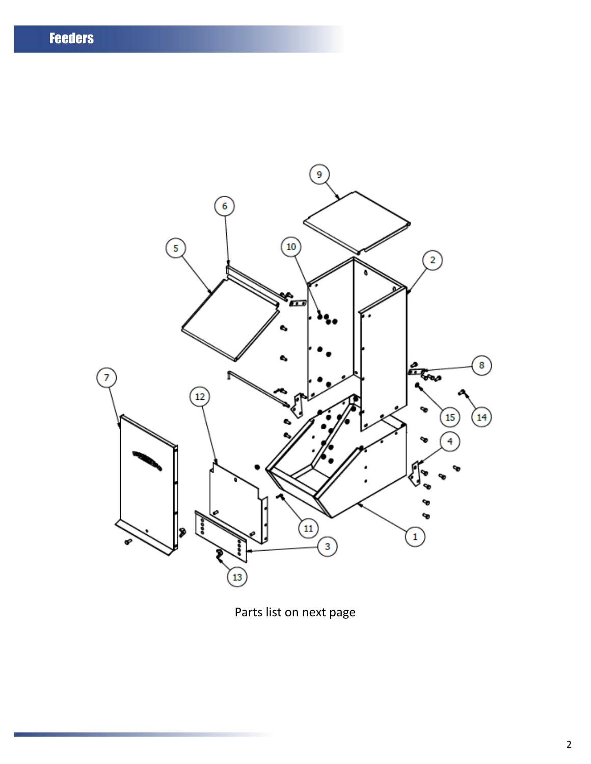

Parts list on next page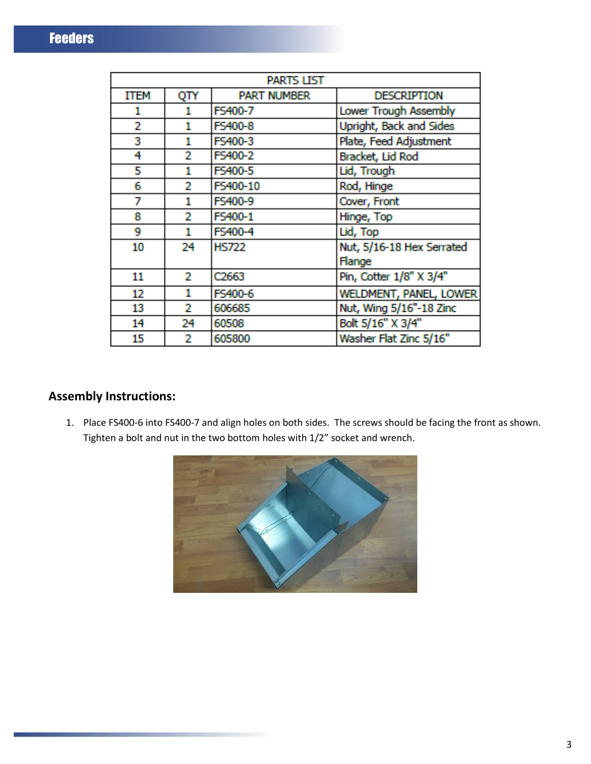| PARTS LIST |     |                    |                               |
|------------|-----|--------------------|-------------------------------|
| ITEM       | QTY | <b>PART NUMBER</b> | <b>DESCRIPTION</b>            |
| 1          | 1   | FS400-7            | Lower Trough Assembly         |
| 2          | 1   | FS400-8            | Upright, Back and Sides       |
| 3          | 1   | FS400-3            | Plate, Feed Adjustment        |
| 4          | 2   | FS400-2            | Bracket, Lid Rod              |
| 5          | 1   | FS400-5            | Lid, Trough                   |
| 6          | 2   | FS400-10           | Rod, Hinge                    |
| 7          | 1   | FS400-9            | Cover, Front                  |
| 8          | 2   | FS400-1            | Hinge, Top                    |
| 9          | 1   | FS400-4            | Lid, Top                      |
| 10         | 24  | <b>HS722</b>       | Nut, 5/16-18 Hex Serrated     |
|            |     |                    | Flange                        |
| 11         | 2   | C <sub>2663</sub>  | Pin, Cotter 1/8" X 3/4"       |
| 12         | 1   | FS400-6            | <b>WELDMENT, PANEL, LOWER</b> |
| 13         | 2   | 606685             | Nut, Wing 5/16"-18 Zinc       |
| 14         | 24  | 60508              | Bolt 5/16" X 3/4"             |
| 15         | 2   | 605800             | Washer Flat Zinc 5/16"        |

## **Assembly Instructions:**

1. Place FS400-6 into FS400-7 and align holes on both sides. The screws should be facing the front as shown. Tighten a bolt and nut in the two bottom holes with 1/2" socket and wrench.

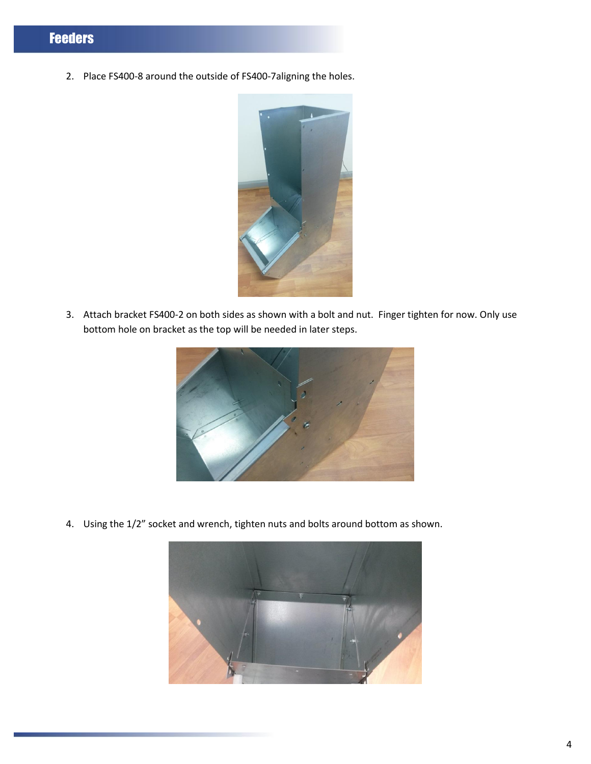2. Place FS400-8 around the outside of FS400-7aligning the holes.



3. Attach bracket FS400-2 on both sides as shown with a bolt and nut. Finger tighten for now. Only use bottom hole on bracket as the top will be needed in later steps.



4. Using the 1/2" socket and wrench, tighten nuts and bolts around bottom as shown.

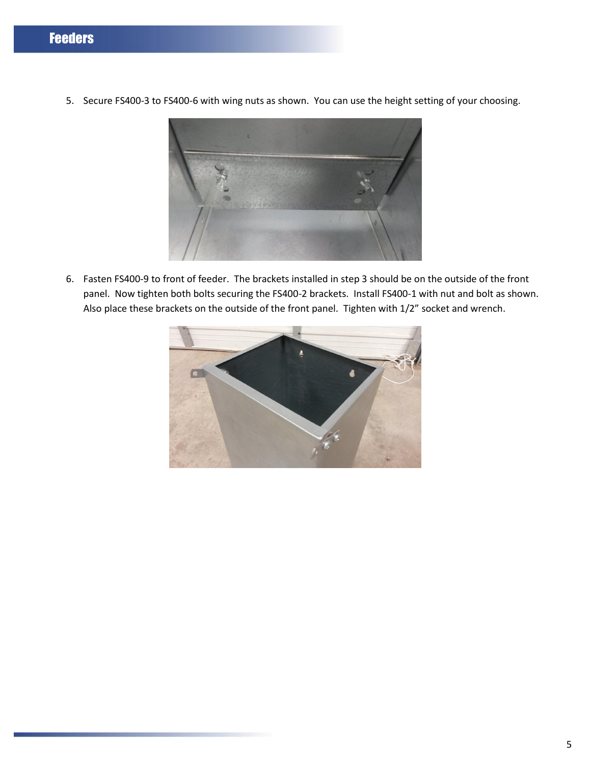- 
- 5. Secure FS400-3 to FS400-6 with wing nuts as shown. You can use the height setting of your choosing.

6. Fasten FS400-9 to front of feeder. The brackets installed in step 3 should be on the outside of the front panel. Now tighten both bolts securing the FS400-2 brackets. Install FS400-1 with nut and bolt as shown. Also place these brackets on the outside of the front panel. Tighten with 1/2" socket and wrench.

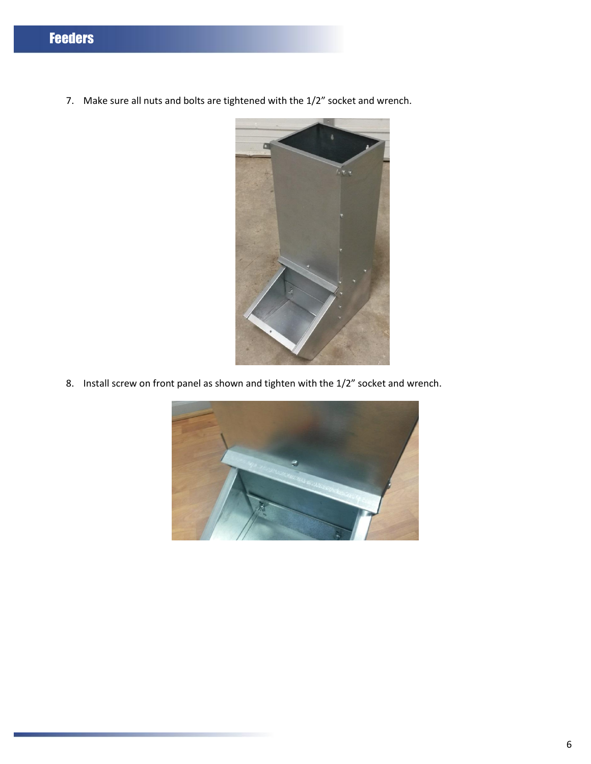7. Make sure all nuts and bolts are tightened with the 1/2" socket and wrench.



8. Install screw on front panel as shown and tighten with the 1/2" socket and wrench.

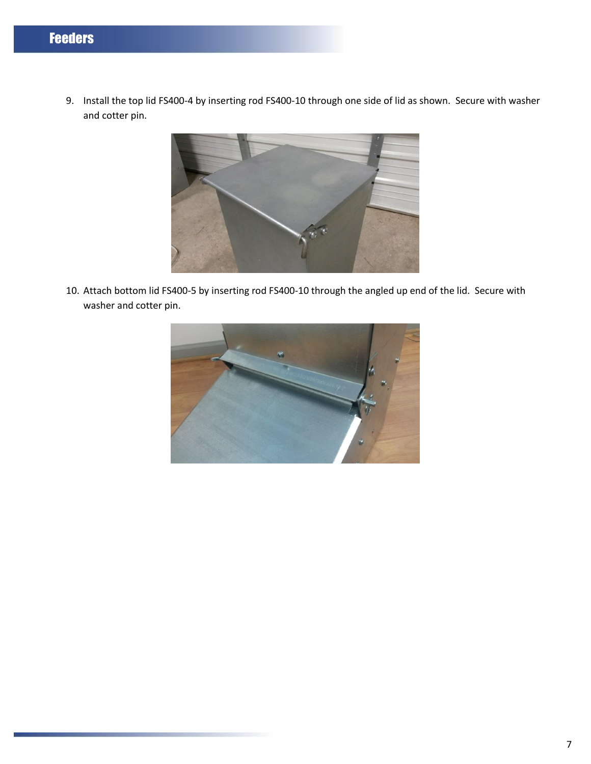9. Install the top lid FS400-4 by inserting rod FS400-10 through one side of lid as shown. Secure with washer and cotter pin.



10. Attach bottom lid FS400-5 by inserting rod FS400-10 through the angled up end of the lid. Secure with washer and cotter pin.